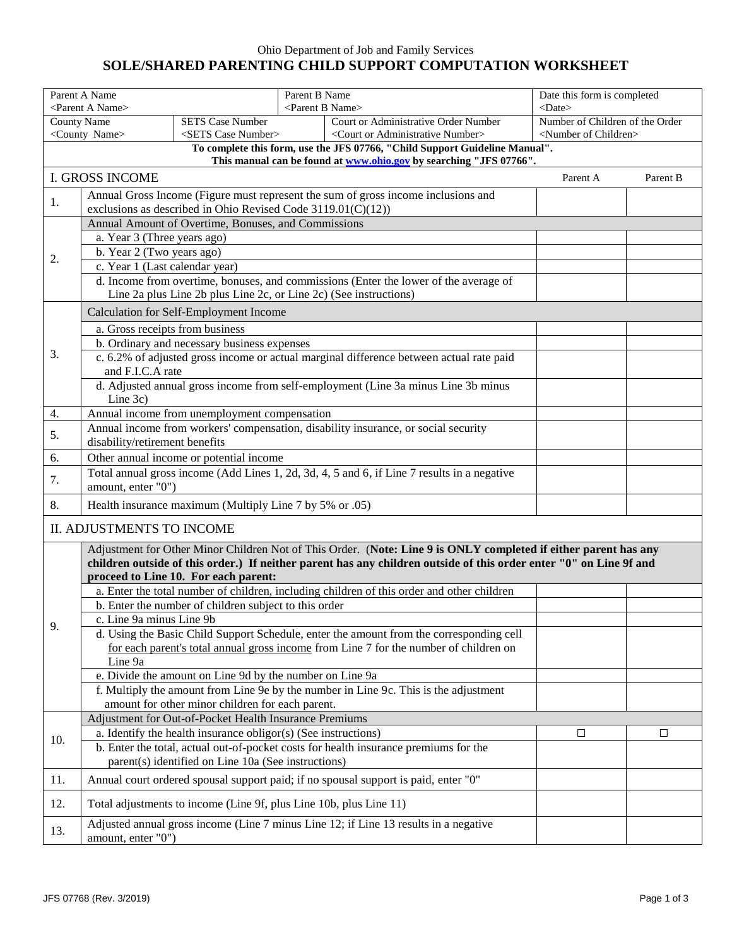## Ohio Department of Job and Family Services **SOLE/SHARED PARENTING CHILD SUPPORT COMPUTATION WORKSHEET**

| Parent A Name<br><parent a="" name=""></parent>                                                                      |                                                                                                                                                            |                                                                                                                                                           | Parent B Name | <parent b="" name=""></parent>                                                             | Date this form is completed<br>$<$ Date $>$                            |        |  |  |
|----------------------------------------------------------------------------------------------------------------------|------------------------------------------------------------------------------------------------------------------------------------------------------------|-----------------------------------------------------------------------------------------------------------------------------------------------------------|---------------|--------------------------------------------------------------------------------------------|------------------------------------------------------------------------|--------|--|--|
| <b>County Name</b><br><b>SETS Case Number</b><br><county name=""><br/><sets case="" number=""></sets></county>       |                                                                                                                                                            |                                                                                                                                                           |               | Court or Administrative Order Number<br><court administrative="" number="" or=""></court>  | Number of Children of the Order<br><number children="" of=""></number> |        |  |  |
| To complete this form, use the JFS 07766, "Child Support Guideline Manual".                                          |                                                                                                                                                            |                                                                                                                                                           |               |                                                                                            |                                                                        |        |  |  |
| This manual can be found at www.ohio.gov by searching "JFS 07766".<br><b>I. GROSS INCOME</b><br>Parent B<br>Parent A |                                                                                                                                                            |                                                                                                                                                           |               |                                                                                            |                                                                        |        |  |  |
| 1.                                                                                                                   | Annual Gross Income (Figure must represent the sum of gross income inclusions and                                                                          |                                                                                                                                                           |               |                                                                                            |                                                                        |        |  |  |
|                                                                                                                      | exclusions as described in Ohio Revised Code $3119.01(C)(12)$ )                                                                                            |                                                                                                                                                           |               |                                                                                            |                                                                        |        |  |  |
|                                                                                                                      | Annual Amount of Overtime, Bonuses, and Commissions                                                                                                        |                                                                                                                                                           |               |                                                                                            |                                                                        |        |  |  |
|                                                                                                                      | a. Year 3 (Three years ago)                                                                                                                                |                                                                                                                                                           |               |                                                                                            |                                                                        |        |  |  |
| 2.                                                                                                                   | b. Year 2 (Two years ago)<br>c. Year 1 (Last calendar year)                                                                                                |                                                                                                                                                           |               |                                                                                            |                                                                        |        |  |  |
|                                                                                                                      |                                                                                                                                                            |                                                                                                                                                           |               |                                                                                            |                                                                        |        |  |  |
|                                                                                                                      |                                                                                                                                                            | d. Income from overtime, bonuses, and commissions (Enter the lower of the average of<br>Line 2a plus Line 2b plus Line 2c, or Line 2c) (See instructions) |               |                                                                                            |                                                                        |        |  |  |
|                                                                                                                      |                                                                                                                                                            |                                                                                                                                                           |               |                                                                                            |                                                                        |        |  |  |
|                                                                                                                      |                                                                                                                                                            | Calculation for Self-Employment Income                                                                                                                    |               |                                                                                            |                                                                        |        |  |  |
|                                                                                                                      | a. Gross receipts from business                                                                                                                            |                                                                                                                                                           |               |                                                                                            |                                                                        |        |  |  |
| 3.                                                                                                                   |                                                                                                                                                            | b. Ordinary and necessary business expenses                                                                                                               |               |                                                                                            |                                                                        |        |  |  |
|                                                                                                                      | and F.I.C.A rate                                                                                                                                           |                                                                                                                                                           |               | c. 6.2% of adjusted gross income or actual marginal difference between actual rate paid    |                                                                        |        |  |  |
|                                                                                                                      |                                                                                                                                                            |                                                                                                                                                           |               | d. Adjusted annual gross income from self-employment (Line 3a minus Line 3b minus          |                                                                        |        |  |  |
|                                                                                                                      | Line 3c)                                                                                                                                                   |                                                                                                                                                           |               |                                                                                            |                                                                        |        |  |  |
| 4.                                                                                                                   |                                                                                                                                                            | Annual income from unemployment compensation                                                                                                              |               |                                                                                            |                                                                        |        |  |  |
|                                                                                                                      |                                                                                                                                                            |                                                                                                                                                           |               | Annual income from workers' compensation, disability insurance, or social security         |                                                                        |        |  |  |
| 5.                                                                                                                   | disability/retirement benefits                                                                                                                             |                                                                                                                                                           |               |                                                                                            |                                                                        |        |  |  |
| 6.                                                                                                                   |                                                                                                                                                            | Other annual income or potential income                                                                                                                   |               |                                                                                            |                                                                        |        |  |  |
| 7.                                                                                                                   | Total annual gross income (Add Lines 1, 2d, 3d, 4, 5 and 6, if Line 7 results in a negative                                                                |                                                                                                                                                           |               |                                                                                            |                                                                        |        |  |  |
|                                                                                                                      | amount, enter "0")                                                                                                                                         |                                                                                                                                                           |               |                                                                                            |                                                                        |        |  |  |
|                                                                                                                      | 8.<br>Health insurance maximum (Multiply Line 7 by 5% or .05)                                                                                              |                                                                                                                                                           |               |                                                                                            |                                                                        |        |  |  |
|                                                                                                                      | II. ADJUSTMENTS TO INCOME                                                                                                                                  |                                                                                                                                                           |               |                                                                                            |                                                                        |        |  |  |
|                                                                                                                      | Adjustment for Other Minor Children Not of This Order. (Note: Line 9 is ONLY completed if either parent has any                                            |                                                                                                                                                           |               |                                                                                            |                                                                        |        |  |  |
|                                                                                                                      | children outside of this order.) If neither parent has any children outside of this order enter "0" on Line 9f and<br>proceed to Line 10. For each parent: |                                                                                                                                                           |               |                                                                                            |                                                                        |        |  |  |
|                                                                                                                      |                                                                                                                                                            |                                                                                                                                                           |               | a. Enter the total number of children, including children of this order and other children |                                                                        |        |  |  |
|                                                                                                                      |                                                                                                                                                            | b. Enter the number of children subject to this order                                                                                                     |               |                                                                                            |                                                                        |        |  |  |
|                                                                                                                      | c. Line 9a minus Line 9b                                                                                                                                   |                                                                                                                                                           |               |                                                                                            |                                                                        |        |  |  |
| 9.                                                                                                                   |                                                                                                                                                            |                                                                                                                                                           |               | d. Using the Basic Child Support Schedule, enter the amount from the corresponding cell    |                                                                        |        |  |  |
|                                                                                                                      |                                                                                                                                                            |                                                                                                                                                           |               | for each parent's total annual gross income from Line 7 for the number of children on      |                                                                        |        |  |  |
|                                                                                                                      | Line 9a                                                                                                                                                    |                                                                                                                                                           |               |                                                                                            |                                                                        |        |  |  |
|                                                                                                                      |                                                                                                                                                            | e. Divide the amount on Line 9d by the number on Line 9a                                                                                                  |               |                                                                                            |                                                                        |        |  |  |
|                                                                                                                      |                                                                                                                                                            |                                                                                                                                                           |               | f. Multiply the amount from Line 9e by the number in Line 9c. This is the adjustment       |                                                                        |        |  |  |
|                                                                                                                      |                                                                                                                                                            | amount for other minor children for each parent.                                                                                                          |               |                                                                                            |                                                                        |        |  |  |
|                                                                                                                      |                                                                                                                                                            | Adjustment for Out-of-Pocket Health Insurance Premiums                                                                                                    |               |                                                                                            |                                                                        |        |  |  |
| 10.                                                                                                                  |                                                                                                                                                            | a. Identify the health insurance obligor(s) (See instructions)                                                                                            |               |                                                                                            | □                                                                      | $\Box$ |  |  |
|                                                                                                                      |                                                                                                                                                            | parent(s) identified on Line 10a (See instructions)                                                                                                       |               | b. Enter the total, actual out-of-pocket costs for health insurance premiums for the       |                                                                        |        |  |  |
| 11.                                                                                                                  | Annual court ordered spousal support paid; if no spousal support is paid, enter "0"                                                                        |                                                                                                                                                           |               |                                                                                            |                                                                        |        |  |  |
| 12.                                                                                                                  | Total adjustments to income (Line 9f, plus Line 10b, plus Line 11)                                                                                         |                                                                                                                                                           |               |                                                                                            |                                                                        |        |  |  |
|                                                                                                                      |                                                                                                                                                            |                                                                                                                                                           |               | Adjusted annual gross income (Line 7 minus Line 12; if Line 13 results in a negative       |                                                                        |        |  |  |
| 13.                                                                                                                  | amount, enter "0")                                                                                                                                         |                                                                                                                                                           |               |                                                                                            |                                                                        |        |  |  |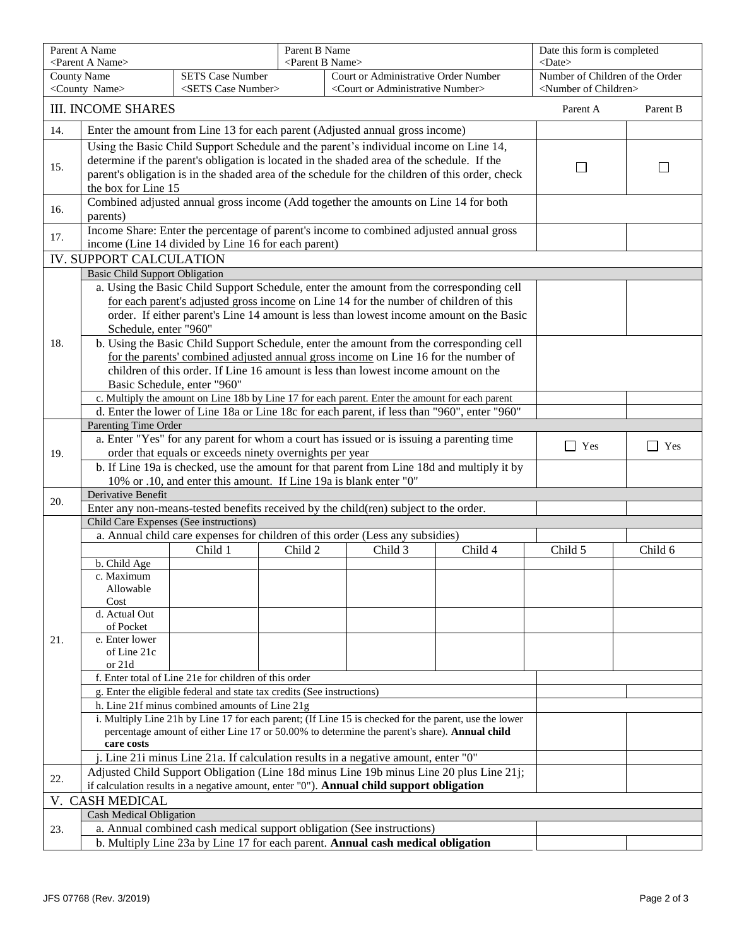|                 | Parent A Name<br><parent a="" name=""></parent>                                                                                                                                                                                                                                        |                                                                                                                                                                           |  | Parent B Name<br><parent b="" name=""></parent> |  |            | Date this form is completed<br><date></date> |                                     |  |
|-----------------|----------------------------------------------------------------------------------------------------------------------------------------------------------------------------------------------------------------------------------------------------------------------------------------|---------------------------------------------------------------------------------------------------------------------------------------------------------------------------|--|-------------------------------------------------|--|------------|----------------------------------------------|-------------------------------------|--|
|                 | <b>County Name</b><br><b>SETS Case Number</b><br>Court or Administrative Order Number                                                                                                                                                                                                  |                                                                                                                                                                           |  | Number of Children of the Order                 |  |            |                                              |                                     |  |
|                 | <county name=""><br/><sets case="" number=""><br/><court administrative="" number="" or=""></court></sets></county>                                                                                                                                                                    |                                                                                                                                                                           |  |                                                 |  |            |                                              | <number children="" of=""></number> |  |
|                 | <b>III. INCOME SHARES</b>                                                                                                                                                                                                                                                              |                                                                                                                                                                           |  |                                                 |  |            | Parent A                                     | Parent B                            |  |
| 14.             |                                                                                                                                                                                                                                                                                        | Enter the amount from Line 13 for each parent (Adjusted annual gross income)                                                                                              |  |                                                 |  |            |                                              |                                     |  |
| 15.             | Using the Basic Child Support Schedule and the parent's individual income on Line 14,<br>determine if the parent's obligation is located in the shaded area of the schedule. If the<br>parent's obligation is in the shaded area of the schedule for the children of this order, check |                                                                                                                                                                           |  |                                                 |  |            |                                              |                                     |  |
|                 |                                                                                                                                                                                                                                                                                        | the box for Line 15                                                                                                                                                       |  |                                                 |  |            |                                              |                                     |  |
| 16.             | Combined adjusted annual gross income (Add together the amounts on Line 14 for both<br>parents)                                                                                                                                                                                        |                                                                                                                                                                           |  |                                                 |  |            |                                              |                                     |  |
| 17.             | Income Share: Enter the percentage of parent's income to combined adjusted annual gross<br>income (Line 14 divided by Line 16 for each parent)                                                                                                                                         |                                                                                                                                                                           |  |                                                 |  |            |                                              |                                     |  |
|                 | <b>IV. SUPPORT CALCULATION</b>                                                                                                                                                                                                                                                         |                                                                                                                                                                           |  |                                                 |  |            |                                              |                                     |  |
|                 | <b>Basic Child Support Obligation</b>                                                                                                                                                                                                                                                  |                                                                                                                                                                           |  |                                                 |  |            |                                              |                                     |  |
|                 |                                                                                                                                                                                                                                                                                        | a. Using the Basic Child Support Schedule, enter the amount from the corresponding cell                                                                                   |  |                                                 |  |            |                                              |                                     |  |
|                 |                                                                                                                                                                                                                                                                                        | for each parent's adjusted gross income on Line 14 for the number of children of this                                                                                     |  |                                                 |  |            |                                              |                                     |  |
|                 |                                                                                                                                                                                                                                                                                        | order. If either parent's Line 14 amount is less than lowest income amount on the Basic                                                                                   |  |                                                 |  |            |                                              |                                     |  |
|                 | Schedule, enter "960"                                                                                                                                                                                                                                                                  |                                                                                                                                                                           |  |                                                 |  |            |                                              |                                     |  |
| 18.             |                                                                                                                                                                                                                                                                                        | b. Using the Basic Child Support Schedule, enter the amount from the corresponding cell                                                                                   |  |                                                 |  |            |                                              |                                     |  |
|                 |                                                                                                                                                                                                                                                                                        | for the parents' combined adjusted annual gross income on Line 16 for the number of<br>children of this order. If Line 16 amount is less than lowest income amount on the |  |                                                 |  |            |                                              |                                     |  |
|                 |                                                                                                                                                                                                                                                                                        | Basic Schedule, enter "960"                                                                                                                                               |  |                                                 |  |            |                                              |                                     |  |
|                 |                                                                                                                                                                                                                                                                                        | c. Multiply the amount on Line 18b by Line 17 for each parent. Enter the amount for each parent                                                                           |  |                                                 |  |            |                                              |                                     |  |
|                 |                                                                                                                                                                                                                                                                                        | d. Enter the lower of Line 18a or Line 18c for each parent, if less than "960", enter "960"                                                                               |  |                                                 |  |            |                                              |                                     |  |
|                 | Parenting Time Order                                                                                                                                                                                                                                                                   |                                                                                                                                                                           |  |                                                 |  |            |                                              |                                     |  |
|                 | a. Enter "Yes" for any parent for whom a court has issued or is issuing a parenting time                                                                                                                                                                                               |                                                                                                                                                                           |  |                                                 |  | $\Box$ Yes | $\Box$ Yes                                   |                                     |  |
| 19.             | order that equals or exceeds ninety overnights per year                                                                                                                                                                                                                                |                                                                                                                                                                           |  |                                                 |  |            |                                              |                                     |  |
|                 |                                                                                                                                                                                                                                                                                        | b. If Line 19a is checked, use the amount for that parent from Line 18d and multiply it by                                                                                |  |                                                 |  |            |                                              |                                     |  |
|                 |                                                                                                                                                                                                                                                                                        | 10% or .10, and enter this amount. If Line 19a is blank enter "0"                                                                                                         |  |                                                 |  |            |                                              |                                     |  |
| 20.             | Derivative Benefit                                                                                                                                                                                                                                                                     |                                                                                                                                                                           |  |                                                 |  |            |                                              |                                     |  |
|                 | Enter any non-means-tested benefits received by the child(ren) subject to the order.<br>Child Care Expenses (See instructions)                                                                                                                                                         |                                                                                                                                                                           |  |                                                 |  |            |                                              |                                     |  |
|                 | a. Annual child care expenses for children of this order (Less any subsidies)                                                                                                                                                                                                          |                                                                                                                                                                           |  |                                                 |  |            |                                              |                                     |  |
|                 | Child 4<br>Child 1<br>Child 2<br>Child 3                                                                                                                                                                                                                                               |                                                                                                                                                                           |  |                                                 |  | Child 5    | Child 6                                      |                                     |  |
|                 | b. Child Age                                                                                                                                                                                                                                                                           |                                                                                                                                                                           |  |                                                 |  |            |                                              |                                     |  |
|                 | c. Maximum                                                                                                                                                                                                                                                                             |                                                                                                                                                                           |  |                                                 |  |            |                                              |                                     |  |
|                 | Allowable                                                                                                                                                                                                                                                                              |                                                                                                                                                                           |  |                                                 |  |            |                                              |                                     |  |
|                 | Cost                                                                                                                                                                                                                                                                                   |                                                                                                                                                                           |  |                                                 |  |            |                                              |                                     |  |
|                 | d. Actual Out                                                                                                                                                                                                                                                                          |                                                                                                                                                                           |  |                                                 |  |            |                                              |                                     |  |
| 21.             | of Pocket<br>e. Enter lower                                                                                                                                                                                                                                                            |                                                                                                                                                                           |  |                                                 |  |            |                                              |                                     |  |
|                 | of Line 21c                                                                                                                                                                                                                                                                            |                                                                                                                                                                           |  |                                                 |  |            |                                              |                                     |  |
|                 | or 21d                                                                                                                                                                                                                                                                                 |                                                                                                                                                                           |  |                                                 |  |            |                                              |                                     |  |
|                 | f. Enter total of Line 21e for children of this order                                                                                                                                                                                                                                  |                                                                                                                                                                           |  |                                                 |  |            |                                              |                                     |  |
|                 | g. Enter the eligible federal and state tax credits (See instructions)                                                                                                                                                                                                                 |                                                                                                                                                                           |  |                                                 |  |            |                                              |                                     |  |
|                 | h. Line 21f minus combined amounts of Line 21g                                                                                                                                                                                                                                         |                                                                                                                                                                           |  |                                                 |  |            |                                              |                                     |  |
|                 | i. Multiply Line 21h by Line 17 for each parent; (If Line 15 is checked for the parent, use the lower                                                                                                                                                                                  |                                                                                                                                                                           |  |                                                 |  |            |                                              |                                     |  |
|                 | percentage amount of either Line 17 or 50.00% to determine the parent's share). Annual child<br>care costs                                                                                                                                                                             |                                                                                                                                                                           |  |                                                 |  |            |                                              |                                     |  |
|                 | Line 21i minus Line 21a. If calculation results in a negative amount, enter "0"                                                                                                                                                                                                        |                                                                                                                                                                           |  |                                                 |  |            |                                              |                                     |  |
|                 | Adjusted Child Support Obligation (Line 18d minus Line 19b minus Line 20 plus Line 21j;                                                                                                                                                                                                |                                                                                                                                                                           |  |                                                 |  |            |                                              |                                     |  |
| 22.             | if calculation results in a negative amount, enter "0"). Annual child support obligation                                                                                                                                                                                               |                                                                                                                                                                           |  |                                                 |  |            |                                              |                                     |  |
| V. CASH MEDICAL |                                                                                                                                                                                                                                                                                        |                                                                                                                                                                           |  |                                                 |  |            |                                              |                                     |  |
|                 | <b>Cash Medical Obligation</b>                                                                                                                                                                                                                                                         |                                                                                                                                                                           |  |                                                 |  |            |                                              |                                     |  |
| 23.             | a. Annual combined cash medical support obligation (See instructions)                                                                                                                                                                                                                  |                                                                                                                                                                           |  |                                                 |  |            |                                              |                                     |  |
|                 | b. Multiply Line 23a by Line 17 for each parent. Annual cash medical obligation                                                                                                                                                                                                        |                                                                                                                                                                           |  |                                                 |  |            |                                              |                                     |  |